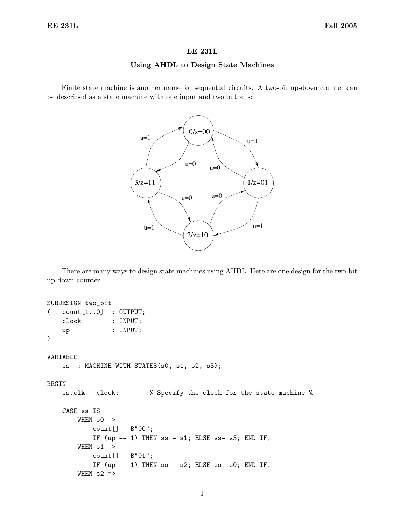## EE 231L

## Using AHDL to Design State Machines

Finite state machine is another name for sequential circuits. A two-bit up-down counter can be described as a state machine with one input and two outputs:



There are many ways to design state machines using AHDL. Here are one design for the two-bit up-down counter:

```
SUBDESIGN two_bit
( count[1..0] : OUTPUT;
    clock : INPUT;
    up : INPUT;
\lambdaVARIABLE
    ss : MACHINE WITH STATES(s0, s1, s2, s3);
BEGIN
    ss.clk = clock; % Specify the clock for the state machine %
    CASE ss IS
        WHEN s0 \Rightarrowcount[] = B"00";IF (up == 1) THEN ss = s1; ELSE ss = s3; END IF;
        WHEN s1 =>
            count[] = B"01";IF (up == 1) THEN ss = s2; ELSE ss = s0; END IF;
        WHEN s2 \Rightarrow
```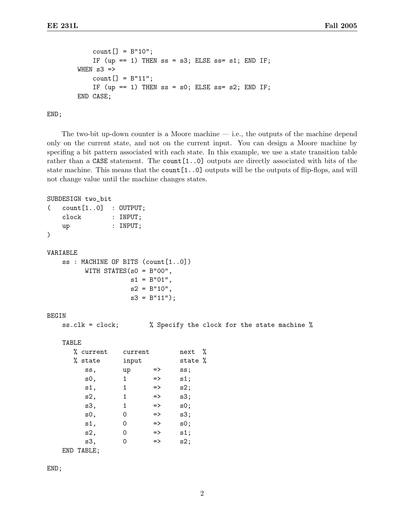```
count[] = B"10";IF (up == 1) THEN ss = s3; ELSE ss = s1; END IF;
WHEN s3 =>
    count[] = B"11";IF (up == 1) THEN ss = s0; ELSE ss = s2; END IF;
END CASE;
```
END;

The two-bit up-down counter is a Moore machine  $-$  i.e., the outputs of the machine depend only on the current state, and not on the current input. You can design a Moore machine by specifing a bit pattern associated with each state. In this example, we use a state transition table rather than a CASE statement. The count [1..0] outputs are directly associated with bits of the state machine. This means that the count[1..0] outputs will be the outputs of flip-flops, and will not change value until the machine changes states.

```
SUBDESIGN two_bit
```

```
( count[1..0] : OUTPUT;
   clock : INPUT;
   up : INPUT;
)
VARIABLE
   ss : MACHINE OF BITS (count[1..0])
         WITH STATES(s0 = B"00",
                    s1 = B"01",s2 = B''10'',
                    s3 = B''11';
BEGIN
   ss.clk = clock; % Specify the clock for the state machine %
   TABLE
      % current current next %
```

| % state    | input |               | state % |  |
|------------|-------|---------------|---------|--|
| SS,        | up    | =>            | ss;     |  |
| s0,        | 1     | $\Rightarrow$ | s1;     |  |
| s1,        | 1     | $\Rightarrow$ | s2;     |  |
| s2,        | 1     | $\Rightarrow$ | s3;     |  |
| s3,        | 1     | $\Rightarrow$ | s0;     |  |
| s0,        | Ω     | $\Rightarrow$ | s3;     |  |
| s1,        | 0     | $\Rightarrow$ | s0;     |  |
| s2,        | 0     | $\Rightarrow$ | s1;     |  |
| s3,        | 0     | $\Rightarrow$ | s2;     |  |
| END TABLE; |       |               |         |  |

END;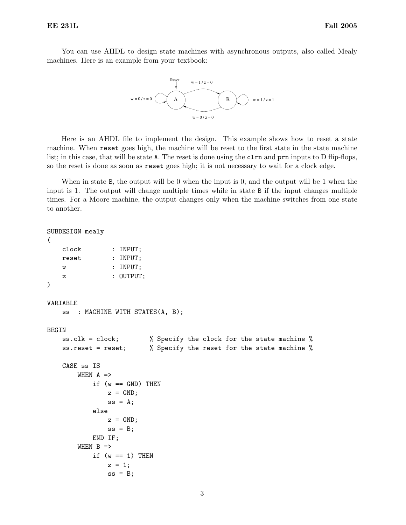You can use AHDL to design state machines with asynchronous outputs, also called Mealy machines. Here is an example from your textbook:



Here is an AHDL file to implement the design. This example shows how to reset a state machine. When reset goes high, the machine will be reset to the first state in the state machine list; in this case, that will be state A. The reset is done using the clear and prn inputs to D flip-flops, so the reset is done as soon as reset goes high; it is not necessary to wait for a clock edge.

When in state B, the output will be 0 when the input is 0, and the output will be 1 when the input is 1. The output will change multiple times while in state B if the input changes multiple times. For a Moore machine, the output changes only when the machine switches from one state to another.

```
SUBDESIGN mealy
(
   clock : INPUT;
   reset : INPUT;
   w : INPUT;
   z : OUTPUT;
)
VARIABLE
   ss : MACHINE WITH STATES(A, B);
BEGIN
   ss.clk = clock; % Specify the clock for the state machine %
   ss.reset = reset; % Specify the reset for the state machine %
   CASE ss IS
       WHEN A =>
           if (w == GND) THEN
              z = GND;ss = A;else
              z = GND;ss = B;END IF;
       WHEN B =>
           if (w == 1) THEN
              z = 1;
              ss = B;
```